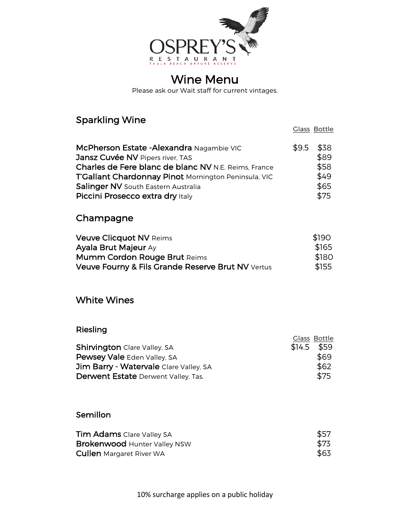

# Wine Menu

Please ask our Wait staff for current vintages.

# Sparkling Wine Glass Bottle

| McPherson Estate - Alexandra Nagambie VIC            | $$9.5$ \$38 |      |
|------------------------------------------------------|-------------|------|
| Jansz Cuvée NV Pipers river, TAS                     |             | \$89 |
| Charles de Fere blanc de blanc NV N.E. Reims, France |             | \$58 |
| T'Gallant Chardonnay Pinot Mornington Peninsula, VIC |             | \$49 |
| Salinger NV South Eastern Australia                  |             | \$65 |
| Piccini Prosecco extra dry Italy                     |             | \$75 |

## Champagne

| <b>Veuve Clicquot NV Reims</b>                    | \$190 |
|---------------------------------------------------|-------|
| <b>Ayala Brut Majeur Ay</b>                       | \$165 |
| <b>Mumm Cordon Rouge Brut Reims</b>               | \$180 |
| Veuve Fourny & Fils Grande Reserve Brut NV Vertus | \$155 |

## White Wines

## Riesling

|                                            | Glass Bottle |
|--------------------------------------------|--------------|
| <b>Shirvington</b> Clare Valley, SA        | $$14.5$ \$59 |
| Pewsey Vale Eden Valley, SA                | \$69         |
| Jim Barry - Watervale Clare Valley, SA     | \$62         |
| <b>Derwent Estate</b> Derwent Valley, Tas. | \$75         |

## Semillon

| <b>Tim Adams</b> Clare Valley SA    | \$57 |
|-------------------------------------|------|
| <b>Brokenwood Hunter Valley NSW</b> | \$73 |
| <b>Cullen</b> Margaret River WA     | \$63 |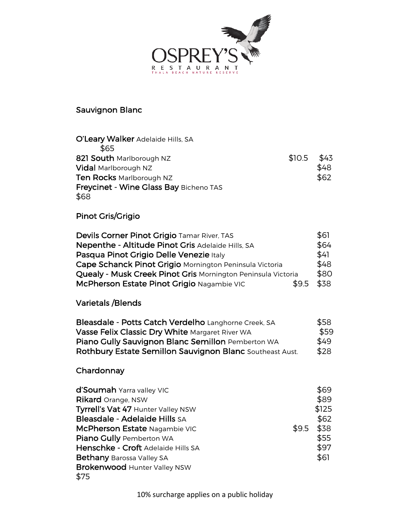

## Sauvignon Blanc

| O'Leary Walker Adelaide Hills, SA      |        |      |
|----------------------------------------|--------|------|
| \$65                                   |        |      |
| 821 South Marlborough NZ               | \$10.5 | \$43 |
| <b>Vidal Marlborough NZ</b>            |        | \$48 |
| Ten Rocks Marlborough NZ               |        | \$62 |
| Freycinet - Wine Glass Bay Bicheno TAS |        |      |
| \$68                                   |        |      |

# Pinot Gris/Grigio

| Devils Corner Pinot Grigio Tamar River, TAS                  | \$61 |
|--------------------------------------------------------------|------|
| Nepenthe - Altitude Pinot Gris Adelaide Hills, SA            | \$64 |
| Pasqua Pinot Grigio Delle Venezie Italy                      | \$41 |
| Cape Schanck Pinot Grigio Mornington Peninsula Victoria      | \$48 |
| Quealy - Musk Creek Pinot Gris Mornington Peninsula Victoria | \$80 |
| McPherson Estate Pinot Grigio Nagambie VIC<br>\$9.5          | \$38 |

#### Varietals /Blends

| Bleasdale - Potts Catch Verdelho Langhorne Creek, SA     | \$58 |
|----------------------------------------------------------|------|
| Vasse Felix Classic Dry White Margaret River WA          | \$59 |
| Piano Gully Sauvignon Blanc Semillon Pemberton WA        | \$49 |
| Rothbury Estate Semillon Sauvignon Blanc Southeast Aust. | \$28 |

# Chardonnay

| d'Soumah Yarra valley VIC           |       | \$69  |
|-------------------------------------|-------|-------|
| <b>Rikard</b> Orange, NSW           |       | \$89  |
| Tyrrell's Vat 47 Hunter Valley NSW  |       | \$125 |
| Bleasdale - Adelaide Hills SA       |       | \$62  |
| McPherson Estate Nagambie VIC       | \$9.5 | \$38  |
| Piano Gully Pemberton WA            |       | \$55  |
| Henschke - Croft Adelaide Hills SA  |       | \$97  |
| <b>Bethany Barossa Valley SA</b>    |       | \$61  |
| <b>Brokenwood Hunter Valley NSW</b> |       |       |
| \$75                                |       |       |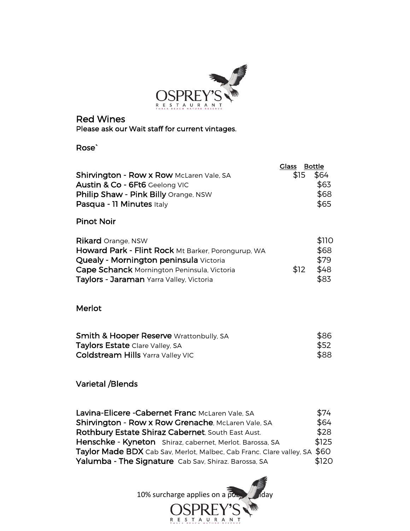

#### Red Wines Please ask our Wait staff for current vintages.

Rose`

| <b>Shirvington - Row x Row McLaren Vale, SA</b><br>Austin & Co - 6Ft6 Geelong VIC<br><b>Philip Shaw - Pink Billy Orange, NSW</b><br>Pasqua - 11 Minutes Italy                                                        | <b>Glass</b><br>\$15 | <b>Bottle</b><br>\$64<br>\$63<br>\$68<br>\$65 |
|----------------------------------------------------------------------------------------------------------------------------------------------------------------------------------------------------------------------|----------------------|-----------------------------------------------|
| <b>Pinot Noir</b>                                                                                                                                                                                                    |                      |                                               |
| <b>Rikard</b> Orange, NSW<br>Howard Park - Flint Rock Mt Barker, Porongurup, WA<br>Quealy - Mornington peninsula Victoria<br>Cape Schanck Mornington Peninsula, Victoria<br>Taylors - Jaraman Yarra Valley, Victoria | \$12                 | \$110<br>\$68<br>\$79<br>\$48<br>\$83         |

Merlot

| <b>Smith &amp; Hooper Reserve Wrattonbully, SA</b> | \$86 |
|----------------------------------------------------|------|
| <b>Taylors Estate Clare Valley, SA</b>             | \$52 |
| <b>Coldstream Hills</b> Yarra Valley VIC           | \$88 |

#### Varietal /Blends

| Lavina-Elicere - Cabernet Franc McLaren Vale, SA                          | \$74  |
|---------------------------------------------------------------------------|-------|
| Shirvington - Row x Row Grenache, McLaren Vale, SA                        | \$64  |
| Rothbury Estate Shiraz Cabernet, South East Aust.                         | \$28  |
| Henschke - Kyneton Shiraz, cabernet, Merlot. Barossa, SA                  | \$125 |
| Taylor Made BDX Cab Sav, Merlot, Malbec, Cab Franc. Clare valley, SA \$60 |       |
| Yalumba - The Signature Cab Sav, Shiraz. Barossa, SA                      | \$120 |